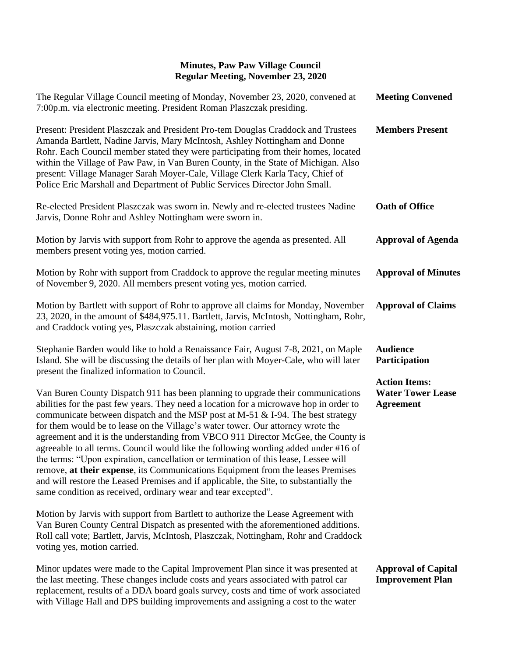| The Regular Village Council meeting of Monday, November 23, 2020, convened at<br>7:00p.m. via electronic meeting. President Roman Plaszczak presiding.                                                                                                                                                                                                                                                                                                                                                                                                                                                                                                                                                                                                                                                                                                           | <b>Meeting Convened</b>                                                                                  |
|------------------------------------------------------------------------------------------------------------------------------------------------------------------------------------------------------------------------------------------------------------------------------------------------------------------------------------------------------------------------------------------------------------------------------------------------------------------------------------------------------------------------------------------------------------------------------------------------------------------------------------------------------------------------------------------------------------------------------------------------------------------------------------------------------------------------------------------------------------------|----------------------------------------------------------------------------------------------------------|
| Present: President Plaszczak and President Pro-tem Douglas Craddock and Trustees<br>Amanda Bartlett, Nadine Jarvis, Mary McIntosh, Ashley Nottingham and Donne<br>Rohr. Each Council member stated they were participating from their homes, located<br>within the Village of Paw Paw, in Van Buren County, in the State of Michigan. Also<br>present: Village Manager Sarah Moyer-Cale, Village Clerk Karla Tacy, Chief of<br>Police Eric Marshall and Department of Public Services Director John Small.                                                                                                                                                                                                                                                                                                                                                       | <b>Members Present</b>                                                                                   |
| Re-elected President Plaszczak was sworn in. Newly and re-elected trustees Nadine<br>Jarvis, Donne Rohr and Ashley Nottingham were sworn in.                                                                                                                                                                                                                                                                                                                                                                                                                                                                                                                                                                                                                                                                                                                     | <b>Oath of Office</b>                                                                                    |
| Motion by Jarvis with support from Rohr to approve the agenda as presented. All<br>members present voting yes, motion carried.                                                                                                                                                                                                                                                                                                                                                                                                                                                                                                                                                                                                                                                                                                                                   | <b>Approval of Agenda</b>                                                                                |
| Motion by Rohr with support from Craddock to approve the regular meeting minutes<br>of November 9, 2020. All members present voting yes, motion carried.                                                                                                                                                                                                                                                                                                                                                                                                                                                                                                                                                                                                                                                                                                         | <b>Approval of Minutes</b>                                                                               |
| Motion by Bartlett with support of Rohr to approve all claims for Monday, November<br>23, 2020, in the amount of \$484,975.11. Bartlett, Jarvis, McIntosh, Nottingham, Rohr,<br>and Craddock voting yes, Plaszczak abstaining, motion carried                                                                                                                                                                                                                                                                                                                                                                                                                                                                                                                                                                                                                    | <b>Approval of Claims</b>                                                                                |
| Stephanie Barden would like to hold a Renaissance Fair, August 7-8, 2021, on Maple<br>Island. She will be discussing the details of her plan with Moyer-Cale, who will later<br>present the finalized information to Council.                                                                                                                                                                                                                                                                                                                                                                                                                                                                                                                                                                                                                                    | <b>Audience</b><br>Participation<br><b>Action Items:</b><br><b>Water Tower Lease</b><br><b>Agreement</b> |
| Van Buren County Dispatch 911 has been planning to upgrade their communications<br>abilities for the past few years. They need a location for a microwave hop in order to<br>communicate between dispatch and the MSP post at M-51 & I-94. The best strategy<br>for them would be to lease on the Village's water tower. Our attorney wrote the<br>agreement and it is the understanding from VBCO 911 Director McGee, the County is<br>agreeable to all terms. Council would like the following wording added under #16 of<br>the terms: "Upon expiration, cancellation or termination of this lease, Lessee will<br>remove, at their expense, its Communications Equipment from the leases Premises<br>and will restore the Leased Premises and if applicable, the Site, to substantially the<br>same condition as received, ordinary wear and tear excepted". |                                                                                                          |
| Motion by Jarvis with support from Bartlett to authorize the Lease Agreement with<br>Van Buren County Central Dispatch as presented with the aforementioned additions.<br>Roll call vote; Bartlett, Jarvis, McIntosh, Plaszczak, Nottingham, Rohr and Craddock<br>voting yes, motion carried.                                                                                                                                                                                                                                                                                                                                                                                                                                                                                                                                                                    |                                                                                                          |
| Minor updates were made to the Capital Improvement Plan since it was presented at<br>the last meeting. These changes include costs and years associated with patrol car<br>replacement, results of a DDA board goals survey, costs and time of work associated                                                                                                                                                                                                                                                                                                                                                                                                                                                                                                                                                                                                   | <b>Approval of Capital</b><br><b>Improvement Plan</b>                                                    |

with Village Hall and DPS building improvements and assigning a cost to the water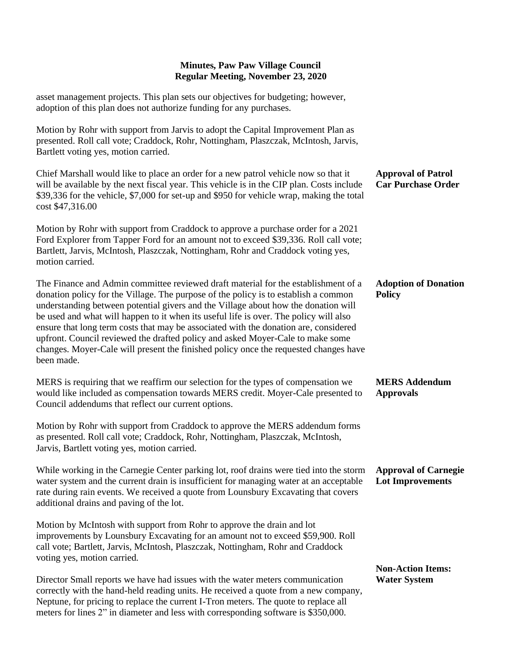asset management projects. This plan sets our objectives for budgeting; however, adoption of this plan does not authorize funding for any purchases.

Motion by Rohr with support from Jarvis to adopt the Capital Improvement Plan as presented. Roll call vote; Craddock, Rohr, Nottingham, Plaszczak, McIntosh, Jarvis, Bartlett voting yes, motion carried.

Chief Marshall would like to place an order for a new patrol vehicle now so that it will be available by the next fiscal year. This vehicle is in the CIP plan. Costs include \$39,336 for the vehicle, \$7,000 for set-up and \$950 for vehicle wrap, making the total cost \$47,316.00 **Approval of Patrol Car Purchase Order**

Motion by Rohr with support from Craddock to approve a purchase order for a 2021 Ford Explorer from Tapper Ford for an amount not to exceed \$39,336. Roll call vote; Bartlett, Jarvis, McIntosh, Plaszczak, Nottingham, Rohr and Craddock voting yes, motion carried.

The Finance and Admin committee reviewed draft material for the establishment of a donation policy for the Village. The purpose of the policy is to establish a common understanding between potential givers and the Village about how the donation will be used and what will happen to it when its useful life is over. The policy will also ensure that long term costs that may be associated with the donation are, considered upfront. Council reviewed the drafted policy and asked Moyer-Cale to make some changes. Moyer-Cale will present the finished policy once the requested changes have been made. **Adoption of Donation Policy**

MERS is requiring that we reaffirm our selection for the types of compensation we would like included as compensation towards MERS credit. Moyer-Cale presented to Council addendums that reflect our current options. **MERS Addendum Approvals**

Motion by Rohr with support from Craddock to approve the MERS addendum forms as presented. Roll call vote; Craddock, Rohr, Nottingham, Plaszczak, McIntosh, Jarvis, Bartlett voting yes, motion carried.

While working in the Carnegie Center parking lot, roof drains were tied into the storm water system and the current drain is insufficient for managing water at an acceptable rate during rain events. We received a quote from Lounsbury Excavating that covers additional drains and paving of the lot.

Motion by McIntosh with support from Rohr to approve the drain and lot improvements by Lounsbury Excavating for an amount not to exceed \$59,900. Roll call vote; Bartlett, Jarvis, McIntosh, Plaszczak, Nottingham, Rohr and Craddock voting yes, motion carried.

Director Small reports we have had issues with the water meters communication correctly with the hand-held reading units. He received a quote from a new company, Neptune, for pricing to replace the current I-Tron meters. The quote to replace all meters for lines 2" in diameter and less with corresponding software is \$350,000.

## **Approval of Carnegie Lot Improvements**

## **Non-Action Items: Water System**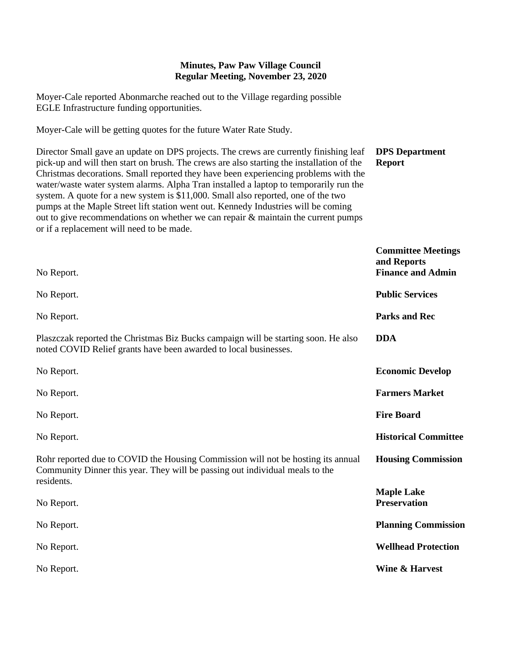Moyer-Cale reported Abonmarche reached out to the Village regarding possible EGLE Infrastructure funding opportunities.

Moyer-Cale will be getting quotes for the future Water Rate Study.

Director Small gave an update on DPS projects. The crews are currently finishing leaf pick-up and will then start on brush. The crews are also starting the installation of the Christmas decorations. Small reported they have been experiencing problems with the water/waste water system alarms. Alpha Tran installed a laptop to temporarily run the system. A quote for a new system is \$11,000. Small also reported, one of the two pumps at the Maple Street lift station went out. Kennedy Industries will be coming out to give recommendations on whether we can repair & maintain the current pumps or if a replacement will need to be made. **DPS Department Report**

| No Report.                                                                                                                                                                     | <b>Committee Meetings</b><br>and Reports<br><b>Finance and Admin</b> |
|--------------------------------------------------------------------------------------------------------------------------------------------------------------------------------|----------------------------------------------------------------------|
| No Report.                                                                                                                                                                     | <b>Public Services</b>                                               |
| No Report.                                                                                                                                                                     | <b>Parks and Rec</b>                                                 |
| Plaszczak reported the Christmas Biz Bucks campaign will be starting soon. He also<br>noted COVID Relief grants have been awarded to local businesses.                         | <b>DDA</b>                                                           |
| No Report.                                                                                                                                                                     | <b>Economic Develop</b>                                              |
| No Report.                                                                                                                                                                     | <b>Farmers Market</b>                                                |
| No Report.                                                                                                                                                                     | <b>Fire Board</b>                                                    |
| No Report.                                                                                                                                                                     | <b>Historical Committee</b>                                          |
| Rohr reported due to COVID the Housing Commission will not be hosting its annual<br>Community Dinner this year. They will be passing out individual meals to the<br>residents. | <b>Housing Commission</b>                                            |
| No Report.                                                                                                                                                                     | <b>Maple Lake</b><br><b>Preservation</b>                             |
| No Report.                                                                                                                                                                     | <b>Planning Commission</b>                                           |
| No Report.                                                                                                                                                                     | <b>Wellhead Protection</b>                                           |
| No Report.                                                                                                                                                                     | <b>Wine &amp; Harvest</b>                                            |
|                                                                                                                                                                                |                                                                      |